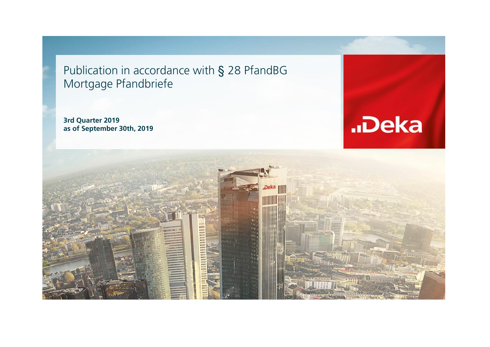Publication in accordance with § 28 PfandBG Mortgage Pfandbriefe

**3rd Quarter 2019 as of September 30th, 2019**



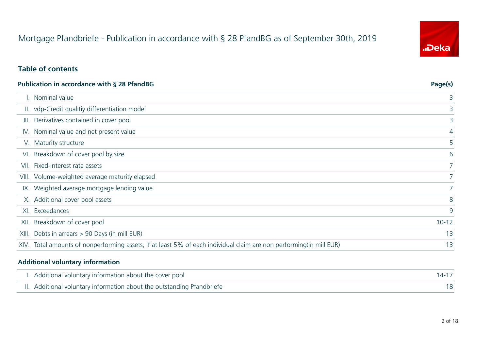# Mortgage Pfandbriefe - Publication in accordance with § 28 PfandBG as of September 30th, 2019

# "Deka

#### **Table of contents**

| <b>Publication in accordance with § 28 PfandBG</b>                                                                   | Page(s)     |
|----------------------------------------------------------------------------------------------------------------------|-------------|
| I. Nominal value                                                                                                     | 3           |
| II. vdp-Credit qualitiy differentiation model                                                                        | 3           |
| Derivatives contained in cover pool<br>III.                                                                          | 3           |
| IV. Nominal value and net present value                                                                              | 4           |
| V. Maturity structure                                                                                                | 5           |
| VI. Breakdown of cover pool by size                                                                                  | 6           |
| VII. Fixed-interest rate assets                                                                                      |             |
| VIII. Volume-weighted average maturity elapsed                                                                       | $7^{\circ}$ |
| IX. Weighted average mortgage lending value                                                                          |             |
| X. Additional cover pool assets                                                                                      | 8           |
| XI. Exceedances                                                                                                      | 9           |
| XII. Breakdown of cover pool                                                                                         | $10 - 12$   |
| XIII. Debts in arrears > 90 Days (in mill EUR)                                                                       | 13          |
| XIV. Total amounts of nonperforming assets, if at least 5% of each individual claim are non performing (in mill EUR) | 13          |

#### **Additional voluntary information**

| I. Additional voluntary information about the cover pool               | $14 - 17$ |
|------------------------------------------------------------------------|-----------|
| II. Additional voluntary information about the outstanding Pfandbriefe |           |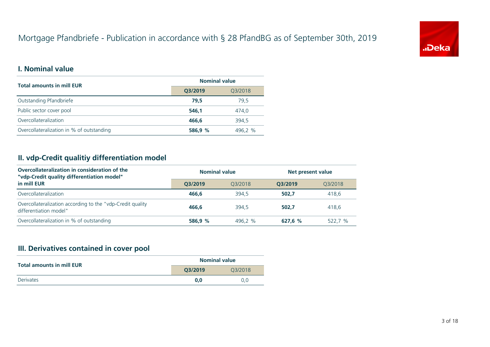# Mortgage Pfandbriefe - Publication in accordance with § 28 PfandBG as of September 30th, 2019



#### **I. Nominal value**

| <b>Total amounts in mill EUR</b>          | <b>Nominal value</b> |         |  |  |
|-------------------------------------------|----------------------|---------|--|--|
|                                           | Q3/2019              | Q3/2018 |  |  |
| Outstanding Pfandbriefe                   | 79.5                 | 79.5    |  |  |
| Public sector cover pool                  | 546.1                | 474.0   |  |  |
| Overcollateralization                     | 466.6                | 394.5   |  |  |
| Overcollateralization in % of outstanding | 586,9 %              | 496.2 % |  |  |

#### **II. vdp-Credit qualitiy differentiation model**

| Overcollateralization in consideration of the<br>"vdp-Credit quality differentiation model" | <b>Nominal value</b> |         | Net present value |         |  |
|---------------------------------------------------------------------------------------------|----------------------|---------|-------------------|---------|--|
| in mill EUR                                                                                 | O3/2019              | 03/2018 | O3/2019           | 03/2018 |  |
| Overcollateralization                                                                       | 466.6                | 394.5   | 502.7             | 418,6   |  |
| Overcollateralization according to the "vdp-Credit quality<br>differentiation model"        | 466,6                | 394.5   | 502.7             | 418.6   |  |
| Overcollateralization in % of outstanding                                                   | 586.9 %              | 496.2 % | 627.6 %           | 522.7 % |  |

#### **III. Derivatives contained in cover pool**

| <b>Total amounts in mill EUR</b> | <b>Nominal value</b> |         |  |  |
|----------------------------------|----------------------|---------|--|--|
|                                  | O3/2019              | 03/2018 |  |  |
| Derivates                        | 0.0                  | 0.0     |  |  |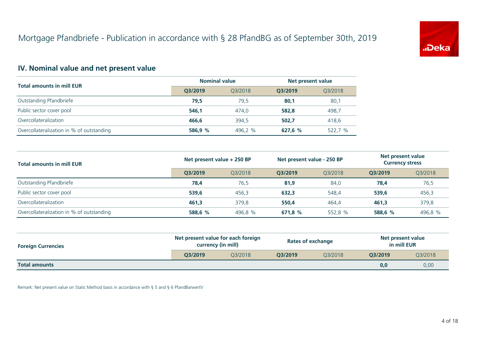

#### **IV. Nominal value and net present value**

| <b>Total amounts in mill EUR</b>          | <b>Nominal value</b> |         | Net present value |         |
|-------------------------------------------|----------------------|---------|-------------------|---------|
|                                           | O3/2019              | 03/2018 | O3/2019           | Q3/2018 |
| Outstanding Pfandbriefe                   | 79.5                 | 79.5    | 80,1              | 80,1    |
| Public sector cover pool                  | 546.1                | 474.0   | 582,8             | 498,7   |
| Overcollateralization                     | 466.6                | 394.5   | 502.7             | 418,6   |
| Overcollateralization in % of outstanding | 586.9 %              | 496.2 % | 627,6 %           | 522,7 % |

| <b>Total amounts in mill EUR</b>          | Net present value + 250 BP |         | Net present value - 250 BP |         |         | Net present value<br><b>Currency stress</b> |  |
|-------------------------------------------|----------------------------|---------|----------------------------|---------|---------|---------------------------------------------|--|
|                                           | O3/2019                    | 03/2018 | O3/2019                    | 03/2018 | O3/2019 | Q3/2018                                     |  |
| Outstanding Pfandbriefe                   | 78,4                       | 76.5    | 81.9                       | 84.0    | 78.4    | 76,5                                        |  |
| Public sector cover pool                  | 539.6                      | 456.3   | 632,3                      | 548.4   | 539.6   | 456,3                                       |  |
| Overcollateralization                     | 461.3                      | 379.8   | 550.4                      | 464.4   | 461.3   | 379,8                                       |  |
| Overcollateralization in % of outstanding | 588,6 %                    | 496,8 % | 671,8 %                    | 552,8 % | 588,6 % | 496,8 %                                     |  |

| <b>Foreign Currencies</b> | Net present value for each foreign<br>currency (in mill) |         |         | <b>Rates of exchange</b> | Net present value<br>in mill EUR |         |
|---------------------------|----------------------------------------------------------|---------|---------|--------------------------|----------------------------------|---------|
|                           | O3/2019                                                  | 03/2018 | O3/2019 | 03/2018                  | O3/2019                          | Q3/2018 |
| <b>Total amounts</b>      |                                                          |         |         |                          | 0,0                              | 0,00    |

Remark: Net present value on Static Method basis in accordance with § 5 and § 6 PfandBarwertV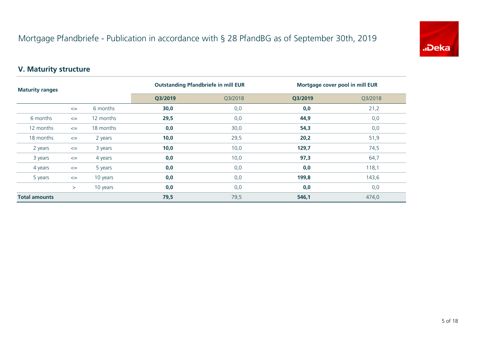

#### **V. Maturity structure**

| <b>Maturity ranges</b> |        |           | <b>Outstanding Pfandbriefe in mill EUR</b> |         | Mortgage cover pool in mill EUR |         |
|------------------------|--------|-----------|--------------------------------------------|---------|---------------------------------|---------|
|                        |        |           | Q3/2019                                    | Q3/2018 | Q3/2019                         | Q3/2018 |
|                        | $\leq$ | 6 months  | 30,0                                       | 0,0     | 0,0                             | 21,2    |
| 6 months               | $\leq$ | 12 months | 29,5                                       | 0,0     | 44,9                            | 0,0     |
| 12 months              | $\leq$ | 18 months | 0,0                                        | 30,0    | 54,3                            | 0,0     |
| 18 months              | $\leq$ | 2 years   | 10,0                                       | 29,5    | 20,2                            | 51,9    |
| 2 years                | $\leq$ | 3 years   | 10,0                                       | 10,0    | 129,7                           | 74,5    |
| 3 years                | $\leq$ | 4 years   | 0,0                                        | 10,0    | 97,3                            | 64,7    |
| 4 years                | $\leq$ | 5 years   | 0,0                                        | 0,0     | 0,0                             | 118,1   |
| 5 years                | $\leq$ | 10 years  | 0,0                                        | 0,0     | 199,8                           | 143,6   |
|                        | $\geq$ | 10 years  | 0,0                                        | 0,0     | 0,0                             | 0,0     |
| <b>Total amounts</b>   |        |           | 79,5                                       | 79,5    | 546,1                           | 474,0   |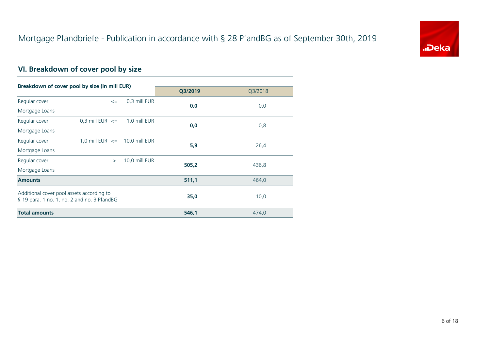

# **VI. Breakdown of cover pool by size**

| Breakdown of cover pool by size (in mill EUR) |                     |        |                                   |         |         |
|-----------------------------------------------|---------------------|--------|-----------------------------------|---------|---------|
|                                               |                     |        |                                   | Q3/2019 | Q3/2018 |
| Regular cover                                 |                     | $\leq$ | 0,3 mill EUR                      | 0,0     | 0,0     |
| Mortgage Loans                                |                     |        |                                   |         |         |
| Regular cover                                 | 0,3 mill $EUR \leq$ |        | 1,0 mill EUR                      | 0,0     |         |
| Mortgage Loans                                |                     |        |                                   |         | 0,8     |
| Regular cover                                 |                     |        | 1,0 mill EUR $\leq$ 10,0 mill EUR | 5,9     |         |
| Mortgage Loans                                |                     |        |                                   |         | 26,4    |
| Regular cover                                 |                     | $\geq$ | 10,0 mill EUR                     | 505,2   |         |
| Mortgage Loans                                |                     |        |                                   |         | 436,8   |
| <b>Amounts</b>                                |                     |        |                                   | 511,1   | 464,0   |
| Additional cover pool assets according to     |                     |        |                                   |         |         |
| § 19 para. 1 no. 1, no. 2 and no. 3 PfandBG   |                     |        |                                   | 35,0    | 10,0    |
| <b>Total amounts</b>                          |                     |        |                                   | 546,1   | 474,0   |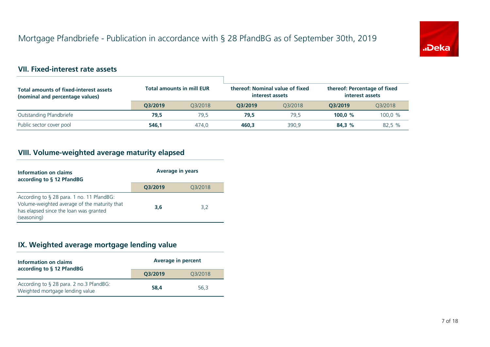

#### **VII. Fixed-interest rate assets**

| <b>Total amounts of fixed-interest assets</b><br>(nominal and percentage values) | <b>Total amounts in mill EUR</b> |         | thereof: Nominal value of fixed<br>thereof: Percentage of fixed<br>interest assets<br>interest assets |         |           |         |
|----------------------------------------------------------------------------------|----------------------------------|---------|-------------------------------------------------------------------------------------------------------|---------|-----------|---------|
|                                                                                  | O3/2019                          | 03/2018 | O3/2019                                                                                               | 03/2018 | O3/2019   | 03/2018 |
| Outstanding Pfandbriefe                                                          | 79.5                             | 79.5    | 79.5                                                                                                  | 79.5    | 100.0 $%$ | 100.0 % |
| Public sector cover pool                                                         | 546.1                            | 474.0   | 460.3                                                                                                 | 390.9   | 84.3 %    | 82,5 %  |

#### **VIII. Volume-weighted average maturity elapsed**

| Information on claims<br>according to § 12 PfandBG                                                                                                 | <b>Average in years</b> |         |  |
|----------------------------------------------------------------------------------------------------------------------------------------------------|-------------------------|---------|--|
|                                                                                                                                                    | Q3/2019                 | Q3/2018 |  |
| According to § 28 para. 1 no. 11 PfandBG:<br>Volume-weighted average of the maturity that<br>has elapsed since the loan was granted<br>(seasoning) | 3,6                     | 3.2     |  |

#### **IX. Weighted average mortgage lending value**

| Information on claims<br>according to § 12 PfandBG                         | <b>Average in percent</b> |         |  |
|----------------------------------------------------------------------------|---------------------------|---------|--|
|                                                                            | Q3/2019                   | Q3/2018 |  |
| According to § 28 para. 2 no.3 PfandBG:<br>Weighted mortgage lending value | 58.4                      | 56.3    |  |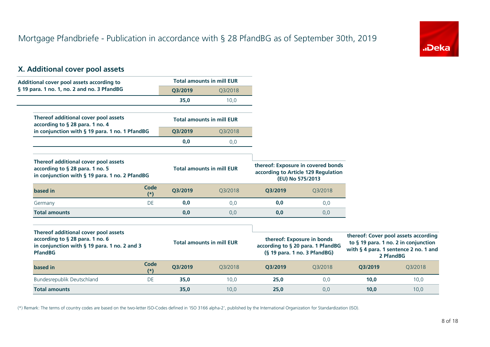

#### **X. Additional cover pool assets**

| Additional cover pool assets according to                                                                                                 |                      |         | <b>Total amounts in mill EUR</b> |                                                                                                 |         |         |                                                                                                                                    |
|-------------------------------------------------------------------------------------------------------------------------------------------|----------------------|---------|----------------------------------|-------------------------------------------------------------------------------------------------|---------|---------|------------------------------------------------------------------------------------------------------------------------------------|
| § 19 para. 1 no. 1, no. 2 and no. 3 PfandBG                                                                                               |                      | Q3/2019 | Q3/2018                          |                                                                                                 |         |         |                                                                                                                                    |
|                                                                                                                                           |                      | 35,0    | 10,0                             |                                                                                                 |         |         |                                                                                                                                    |
| Thereof additional cover pool assets<br>according to § 28 para. 1 no. 4                                                                   |                      |         | <b>Total amounts in mill EUR</b> |                                                                                                 |         |         |                                                                                                                                    |
| in conjunction with § 19 para. 1 no. 1 PfandBG                                                                                            |                      | Q3/2019 | Q3/2018                          |                                                                                                 |         |         |                                                                                                                                    |
|                                                                                                                                           |                      | 0,0     | 0,0                              |                                                                                                 |         |         |                                                                                                                                    |
| Thereof additional cover pool assets<br>according to § 28 para. 1 no. 5<br>in conjunction with § 19 para. 1 no. 2 PfandBG                 |                      |         | <b>Total amounts in mill EUR</b> | thereof: Exposure in covered bonds<br>according to Article 129 Regulation<br>(EU) No 575/2013   |         |         |                                                                                                                                    |
| based in                                                                                                                                  | <b>Code</b><br>$(*)$ | Q3/2019 | Q3/2018                          | Q3/2019                                                                                         | Q3/2018 |         |                                                                                                                                    |
| Germany                                                                                                                                   | DE                   | 0,0     | 0,0                              | 0,0                                                                                             | 0,0     |         |                                                                                                                                    |
| <b>Total amounts</b>                                                                                                                      |                      | 0,0     | 0,0                              | 0,0                                                                                             | 0,0     |         |                                                                                                                                    |
| Thereof additional cover pool assets<br>according to § 28 para. 1 no. 6<br>in conjunction with § 19 para. 1 no. 2 and 3<br><b>PfandBG</b> |                      |         | <b>Total amounts in mill EUR</b> | thereof: Exposure in bonds<br>according to § 20 para. 1 PfandBG<br>(§ 19 para. 1 no. 3 PfandBG) |         |         | thereof: Cover pool assets according<br>to § 19 para. 1 no. 2 in conjunction<br>with § 4 para. 1 sentence 2 no. 1 and<br>2 PfandBG |
| based in                                                                                                                                  | <b>Code</b><br>$(*)$ | Q3/2019 | Q3/2018                          | Q3/2019                                                                                         | Q3/2018 | Q3/2019 | Q3/2018                                                                                                                            |
| Bundesrepublik Deutschland                                                                                                                | DE                   | 35,0    | 10,0                             | 25,0                                                                                            | 0,0     | 10,0    | 10,0                                                                                                                               |
| <b>Total amounts</b>                                                                                                                      |                      | 35,0    | 10,0                             | 25,0                                                                                            | 0,0     | 10,0    | 10,0                                                                                                                               |

(\*) Remark: The terms of country codes are based on the two-letter ISO-Codes defined in 'ISO 3166 alpha-2', published by the International Organization for Standardization (ISO).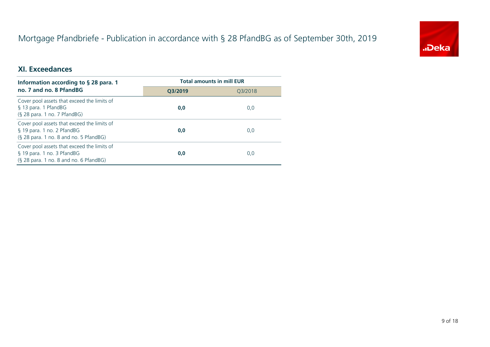# Mortgage Pfandbriefe - Publication in accordance with § 28 PfandBG as of September 30th, 2019



#### **XI. Exceedances**

| Information according to $\S$ 28 para. 1                                                                            | <b>Total amounts in mill EUR</b> |         |  |
|---------------------------------------------------------------------------------------------------------------------|----------------------------------|---------|--|
| no. 7 and no. 8 PfandBG                                                                                             | O3/2019                          | 03/2018 |  |
| Cover pool assets that exceed the limits of<br>§ 13 para. 1 PfandBG<br>$(S$ 28 para. 1 no. 7 PfandBG)               | 0,0                              | 0,0     |  |
| Cover pool assets that exceed the limits of<br>§ 19 para. 1 no. 2 PfandBG<br>(§ 28 para. 1 no. 8 and no. 5 PfandBG) | 0,0                              | 0,0     |  |
| Cover pool assets that exceed the limits of<br>§ 19 para. 1 no. 3 PfandBG<br>(§ 28 para. 1 no. 8 and no. 6 PfandBG) | 0.0                              | 0,0     |  |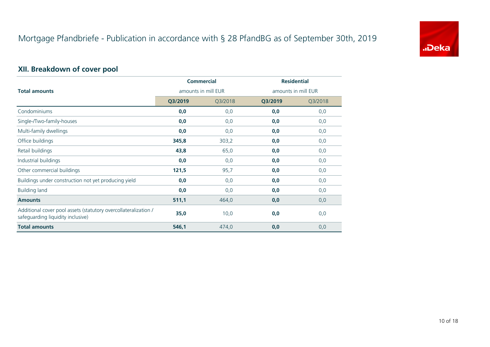

# **XII. Breakdown of cover pool**

|                                                                                                      | <b>Commercial</b>   |         | <b>Residential</b>  |         |  |
|------------------------------------------------------------------------------------------------------|---------------------|---------|---------------------|---------|--|
| <b>Total amounts</b>                                                                                 | amounts in mill EUR |         | amounts in mill EUR |         |  |
|                                                                                                      | Q3/2019             | Q3/2018 | Q3/2019             | Q3/2018 |  |
| Condominiums                                                                                         | 0,0                 | 0,0     | 0,0                 | 0,0     |  |
| Single-/Two-family-houses                                                                            | 0,0                 | 0,0     | 0,0                 | 0,0     |  |
| Multi-family dwellings                                                                               | 0,0                 | 0,0     | 0,0                 | 0,0     |  |
| Office buildings                                                                                     | 345,8               | 303,2   | 0,0                 | 0,0     |  |
| Retail buildings                                                                                     | 43,8                | 65,0    | 0,0                 | 0,0     |  |
| Industrial buildings                                                                                 | 0,0                 | 0,0     | 0,0                 | 0,0     |  |
| Other commercial buildings                                                                           | 121,5               | 95,7    | 0,0                 | 0,0     |  |
| Buildings under construction not yet producing yield                                                 | 0,0                 | 0,0     | 0,0                 | 0,0     |  |
| <b>Building land</b>                                                                                 | 0,0                 | 0,0     | 0,0                 | 0,0     |  |
| <b>Amounts</b>                                                                                       | 511,1               | 464,0   | 0,0                 | 0,0     |  |
| Additional cover pool assets (statutory overcollateralization /<br>safeguarding liquidity inclusive) | 35,0                | 10,0    | 0,0                 | 0,0     |  |
| <b>Total amounts</b>                                                                                 | 546,1               | 474,0   | 0,0                 | 0,0     |  |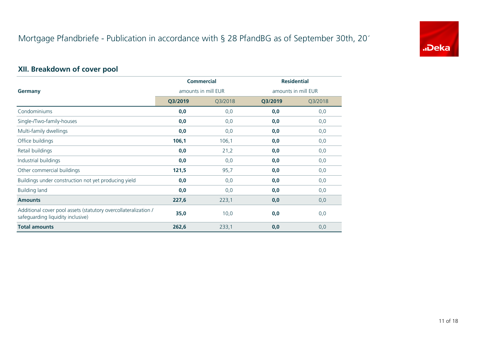

# **XII. Breakdown of cover pool**

|                                                                                                      | <b>Commercial</b>   |         | <b>Residential</b>  |         |
|------------------------------------------------------------------------------------------------------|---------------------|---------|---------------------|---------|
| Germany                                                                                              | amounts in mill EUR |         | amounts in mill EUR |         |
|                                                                                                      | Q3/2019             | Q3/2018 | Q3/2019             | Q3/2018 |
| Condominiums                                                                                         | 0,0                 | 0,0     | 0,0                 | 0,0     |
| Single-/Two-family-houses                                                                            | 0,0                 | 0,0     | 0,0                 | 0,0     |
| Multi-family dwellings                                                                               | 0,0                 | 0,0     | 0,0                 | 0,0     |
| Office buildings                                                                                     | 106,1               | 106,1   | 0,0                 | 0,0     |
| Retail buildings                                                                                     | 0,0                 | 21,2    | 0,0                 | 0,0     |
| Industrial buildings                                                                                 | 0,0                 | 0,0     | 0,0                 | 0,0     |
| Other commercial buildings                                                                           | 121,5               | 95,7    | 0,0                 | 0,0     |
| Buildings under construction not yet producing yield                                                 | 0,0                 | 0,0     | 0,0                 | 0,0     |
| <b>Building land</b>                                                                                 | 0,0                 | 0,0     | 0,0                 | 0,0     |
| <b>Amounts</b>                                                                                       | 227,6               | 223,1   | 0,0                 | 0,0     |
| Additional cover pool assets (statutory overcollateralization /<br>safeguarding liquidity inclusive) | 35,0                | 10,0    | 0,0                 | 0,0     |
| <b>Total amounts</b>                                                                                 | 262,6               | 233,1   | 0,0                 | 0,0     |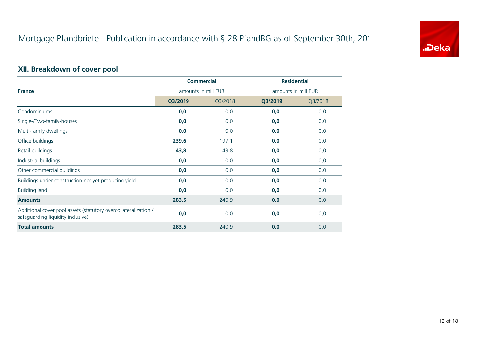

# **XII. Breakdown of cover pool**

|                                                                                                      | <b>Commercial</b>   |         | <b>Residential</b>  |         |  |
|------------------------------------------------------------------------------------------------------|---------------------|---------|---------------------|---------|--|
| <b>France</b>                                                                                        | amounts in mill EUR |         | amounts in mill EUR |         |  |
|                                                                                                      | Q3/2019             | Q3/2018 | Q3/2019             | Q3/2018 |  |
| Condominiums                                                                                         | 0,0                 | 0,0     | 0,0                 | 0,0     |  |
| Single-/Two-family-houses                                                                            | 0,0                 | 0,0     | 0,0                 | 0,0     |  |
| Multi-family dwellings                                                                               | 0,0                 | 0,0     | 0,0                 | 0,0     |  |
| Office buildings                                                                                     | 239,6               | 197,1   | 0,0                 | 0,0     |  |
| Retail buildings                                                                                     | 43,8                | 43,8    | 0,0                 | 0,0     |  |
| Industrial buildings                                                                                 | 0,0                 | 0,0     | 0,0                 | 0,0     |  |
| Other commercial buildings                                                                           | 0,0                 | 0,0     | 0,0                 | 0,0     |  |
| Buildings under construction not yet producing yield                                                 | 0,0                 | 0,0     | 0,0                 | 0,0     |  |
| <b>Building land</b>                                                                                 | 0,0                 | 0,0     | 0,0                 | 0,0     |  |
| <b>Amounts</b>                                                                                       | 283,5               | 240,9   | 0,0                 | 0,0     |  |
| Additional cover pool assets (statutory overcollateralization /<br>safeguarding liquidity inclusive) | 0,0                 | 0,0     | 0,0                 | 0,0     |  |
| <b>Total amounts</b>                                                                                 | 283,5               | 240,9   | 0,0                 | 0,0     |  |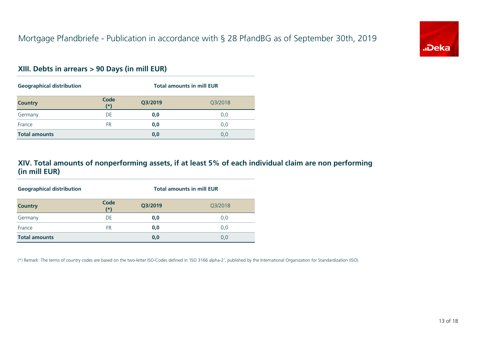

#### **XIII. Debts in arrears > 90 Days (in mill EUR)**

| <b>Geographical distribution</b> |               | <b>Total amounts in mill EUR</b> |         |  |
|----------------------------------|---------------|----------------------------------|---------|--|
| <b>Country</b>                   | Code<br>$(*)$ | Q3/2019                          | Q3/2018 |  |
| Germany                          | DE            | 0,0                              | 0,0     |  |
| France                           | FR            | 0,0                              | 0,0     |  |
| <b>Total amounts</b>             |               | 0,0                              | 0,0     |  |

#### **XIV. Total amounts of nonperforming assets, if at least 5% of each individual claim are non performing (in mill EUR)**

| <b>Geographical distribution</b> |               | <b>Total amounts in mill EUR</b> |         |  |
|----------------------------------|---------------|----------------------------------|---------|--|
| <b>Country</b>                   | Code<br>$(*)$ | Q3/2019                          | Q3/2018 |  |
| Germany                          | DE            | 0,0                              | 0,0     |  |
| France                           | FR            | 0,0                              | 0,0     |  |
| <b>Total amounts</b>             |               | 0,0                              | 0,0     |  |

(\*) Remark: The terms of country codes are based on the two-letter ISO-Codes defined in 'ISO 3166 alpha-2', published by the International Organization for Standardization (ISO).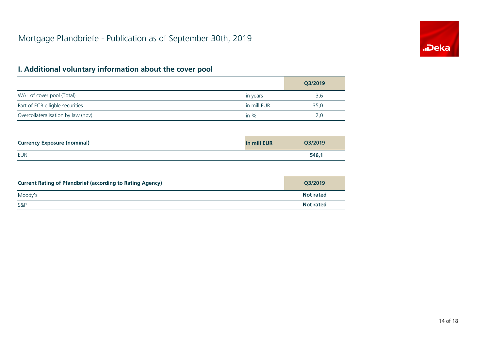

|                                    |             | Q3/2019 |
|------------------------------------|-------------|---------|
| WAL of cover pool (Total)          | in years    | 3,6     |
| Part of ECB elligble securities    | in mill EUR | 35,0    |
| Overcollateralisation by law (npv) | in $\%$     | 2.0     |

| <b>Currency Exposure (nominal)</b> | in mill EUR | Q3/2019 |
|------------------------------------|-------------|---------|
| EUR                                |             | 546,1   |

| <b>Current Rating of Pfandbrief (according to Rating Agency)</b> | O3/2019          |
|------------------------------------------------------------------|------------------|
| Moody's                                                          | <b>Not rated</b> |
| <b>S&amp;P</b>                                                   | <b>Not rated</b> |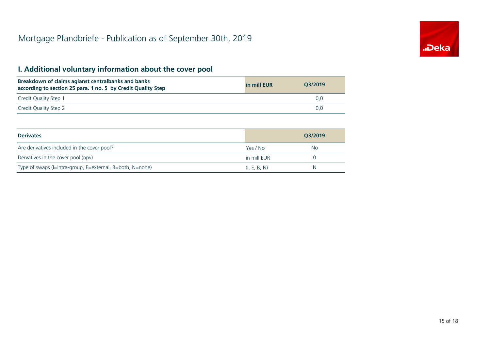

| Breakdown of claims agianst centralbanks and banks<br>according to section 25 para. 1 no. 5 by Credit Quality Step | in mill EUR | O3/2019 |
|--------------------------------------------------------------------------------------------------------------------|-------------|---------|
| Credit Quality Step 1                                                                                              |             | 0.0     |
| Credit Quality Step 2                                                                                              |             | 0.0     |

| <b>Derivates</b>                                          |              | Q3/2019 |
|-----------------------------------------------------------|--------------|---------|
| Are derivatives included in the cover pool?               | Yes / No     | No.     |
| Dervatives in the cover pool (npv)                        | in mill EUR  |         |
| Type of swaps (I=intra-group, E=external, B=both, N=none) | (I, E, B, N) | N       |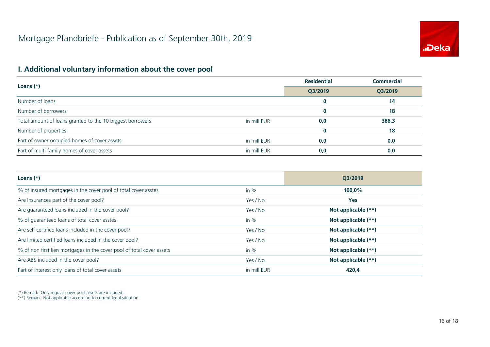

|                                                           |             | <b>Residential</b> | <b>Commercial</b> |  |
|-----------------------------------------------------------|-------------|--------------------|-------------------|--|
| Loans $(*)$                                               |             | Q3/2019            | O3/2019           |  |
| Number of loans                                           |             |                    | 14                |  |
| Number of borrowers                                       |             |                    | 18                |  |
| Total amount of loans granted to the 10 biggest borrowers | in mill EUR | 0,0                | 386,3             |  |
| Number of properties                                      |             | $\bf{0}$           | 18                |  |
| Part of owner occupied homes of cover assets              | in mill EUR | 0,0                | 0,0               |  |
| Part of multi-family homes of cover assets                | in mill EUR | 0,0                | 0,0               |  |

| Loans $(*)$                                                           |             | O3/2019             |
|-----------------------------------------------------------------------|-------------|---------------------|
| % of insured mortgages in the cover pool of total cover asstes        | in $%$      | 100,0%              |
| Are Insurances part of the cover pool?                                | Yes / No    | <b>Yes</b>          |
| Are guaranteed loans included in the cover pool?                      | Yes / No    | Not applicable (**) |
| % of quaranteed loans of total cover asstes                           | in $%$      | Not applicable (**) |
| Are self certified loans included in the cover pool?                  | Yes / No    | Not applicable (**) |
| Are limited certified loans included in the cover pool?               | Yes / No    | Not applicable (**) |
| % of non first lien mortgages in the cover pool of total cover assets | in $%$      | Not applicable (**) |
| Are ABS included in the cover pool?                                   | Yes / No    | Not applicable (**) |
| Part of interest only loans of total cover assets                     | in mill EUR | 420,4               |

(\*) Remark: Only regular cover pool assets are included.

(\*\*) Remark: Not applicable according to current legal situation.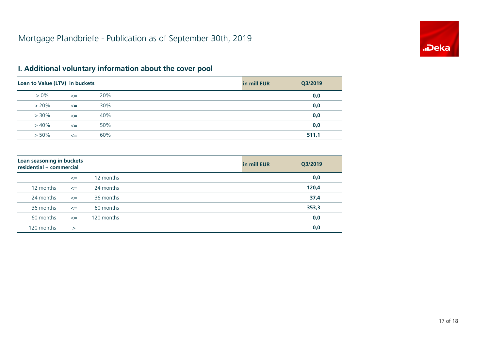

| Loan to Value (LTV) in buckets |        |     | in mill EUR | Q3/2019 |
|--------------------------------|--------|-----|-------------|---------|
| $> 0\%$                        | $\leq$ | 20% |             | 0,0     |
| $> 20\%$                       | $\leq$ | 30% |             | 0,0     |
| $> 30\%$                       | $\leq$ | 40% |             | 0,0     |
| $>40\%$                        | $\leq$ | 50% |             | 0,0     |
| $> 50\%$                       | $\leq$ | 60% |             | 511,1   |

| Loan seasoning in buckets<br>residential + commercial |        |            | in mill EUR | Q3/2019 |
|-------------------------------------------------------|--------|------------|-------------|---------|
|                                                       | $\leq$ | 12 months  |             | 0,0     |
| 12 months                                             | $\leq$ | 24 months  |             | 120,4   |
| 24 months                                             | $\leq$ | 36 months  |             | 37,4    |
| 36 months                                             | $\leq$ | 60 months  |             | 353,3   |
| 60 months                                             | $\leq$ | 120 months |             | 0,0     |
| 120 months                                            | $\geq$ |            |             | 0,0     |